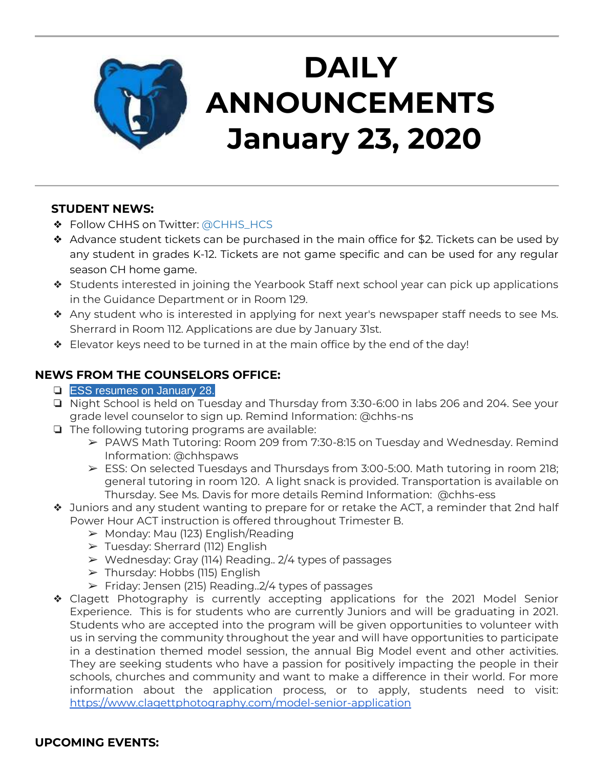

# **DAILY ANNOUNCEMENTS January 23, 2020**

#### **STUDENT NEWS:**

- ❖ Follow CHHS on Twitter: [@CHHS\\_HCS](https://twitter.com/CHHS_HCS)
- ❖ Advance student tickets can be purchased in the main office for \$2. Tickets can be used by any student in grades K-12. Tickets are not game specific and can be used for any regular season CH home game.
- ❖ Students interested in joining the Yearbook Staff next school year can pick up applications in the Guidance Department or in Room 129.
- ❖ Any student who is interested in applying for next year's newspaper staff needs to see Ms. Sherrard in Room 112. Applications are due by January 31st.
- ❖ Elevator keys need to be turned in at the main office by the end of the day!

### **NEWS FROM THE COUNSELORS OFFICE:**

- ❏ ESS resumes on January 28.
- ❏ Night School is held on Tuesday and Thursday from 3:30-6:00 in labs 206 and 204. See your grade level counselor to sign up. Remind Information: @chhs-ns
- ❏ The following tutoring programs are available:
	- ➢ PAWS Math Tutoring: Room 209 from 7:30-8:15 on Tuesday and Wednesday. Remind Information: @chhspaws
	- $\triangleright$  ESS: On selected Tuesdays and Thursdays from 3:00-5:00. Math tutoring in room 218; general tutoring in room 120. A light snack is provided. Transportation is available on Thursday. See Ms. Davis for more details Remind Information: @chhs-ess
- ❖ Juniors and any student wanting to prepare for or retake the ACT, a reminder that 2nd half Power Hour ACT instruction is offered throughout Trimester B.
	- ➢ Monday: Mau (123) English/Reading
	- ➢ Tuesday: Sherrard (112) English
	- $\triangleright$  Wednesday: Gray (114) Reading.. 2/4 types of passages
	- $\triangleright$  Thursday: Hobbs (115) English
	- $\triangleright$  Friday: Jensen (215) Reading. 2/4 types of passages
- ❖ Clagett Photography is currently accepting applications for the 2021 Model Senior Experience. This is for students who are currently Juniors and will be graduating in 2021. Students who are accepted into the program will be given opportunities to volunteer with us in serving the community throughout the year and will have opportunities to participate in a destination themed model session, the annual Big Model event and other activities. They are seeking students who have a passion for positively impacting the people in their schools, churches and community and want to make a difference in their world. For more information about the application process, or to apply, students need to visit: <https://www.clagettphotography.com/model-senior-application>

#### **UPCOMING EVENTS:**